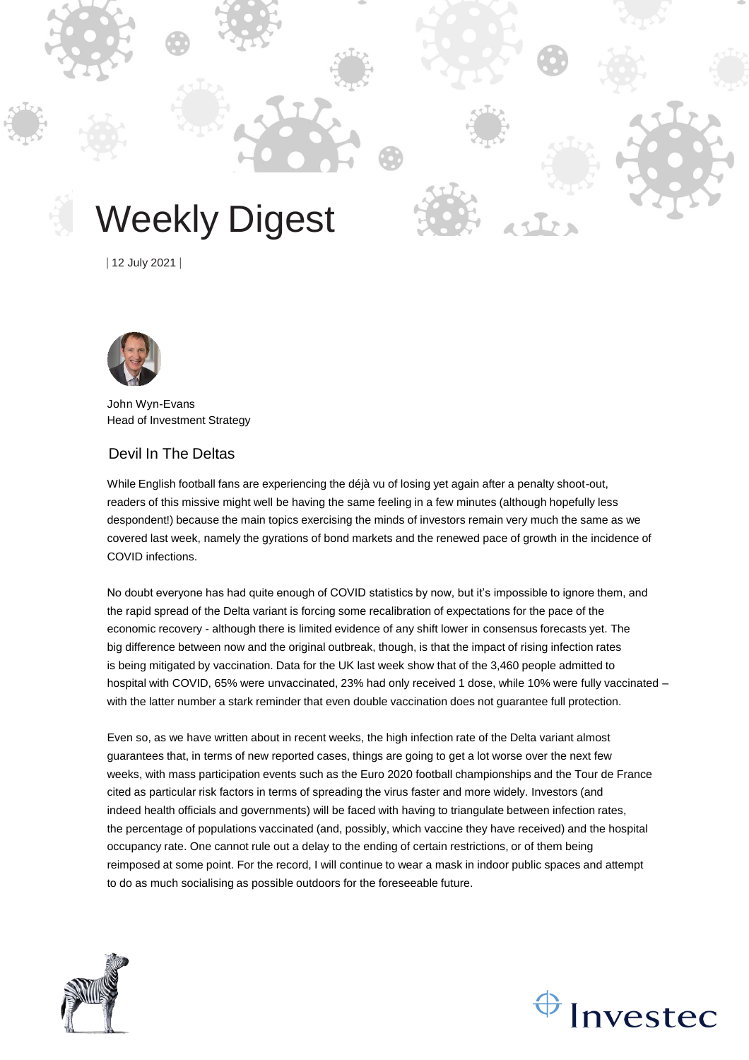

| 12 July 2021 |



John Wyn-Evans Head of Investment Strategy

# Devil In The Deltas

While English football fans are experiencing the déjà vu of losing yet again after a penalty shoot-out, readers of this missive might well be having the same feeling in a few minutes (although hopefully less despondent!) because the main topics exercising the minds of investors remain very much the same as we covered last week, namely the gyrations of bond markets and the renewed pace of growth in the incidence of COVID infections.

No doubt everyone has had quite enough of COVID statistics by now, but it's impossible to ignore them, and the rapid spread of the Delta variant is forcing some recalibration of expectations for the pace of the economic recovery - although there is limited evidence of any shift lower in consensus forecasts yet. The big difference between now and the original outbreak, though, is that the impact of rising infection rates is being mitigated by vaccination. Data for the UK last week show that of the 3,460 people admitted to hospital with COVID, 65% were unvaccinated, 23% had only received 1 dose, while 10% were fully vaccinated with the latter number a stark reminder that even double vaccination does not guarantee full protection.

Even so, as we have written about in recent weeks, the high infection rate of the Delta variant almost guarantees that, in terms of new reported cases, things are going to get a lot worse over the next few weeks, with mass participation events such as the Euro 2020 football championships and the Tour de France cited as particular risk factors in terms of spreading the virus faster and more widely. Investors (and indeed health officials and governments) will be faced with having to triangulate between infection rates, the percentage of populations vaccinated (and, possibly, which vaccine they have received) and the hospital occupancy rate. One cannot rule out a delay to the ending of certain restrictions, or of them being reimposed at some point. For the record, I will continue to wear a mask in indoor public spaces and attempt to do as much socialising as possible outdoors for the foreseeable future.



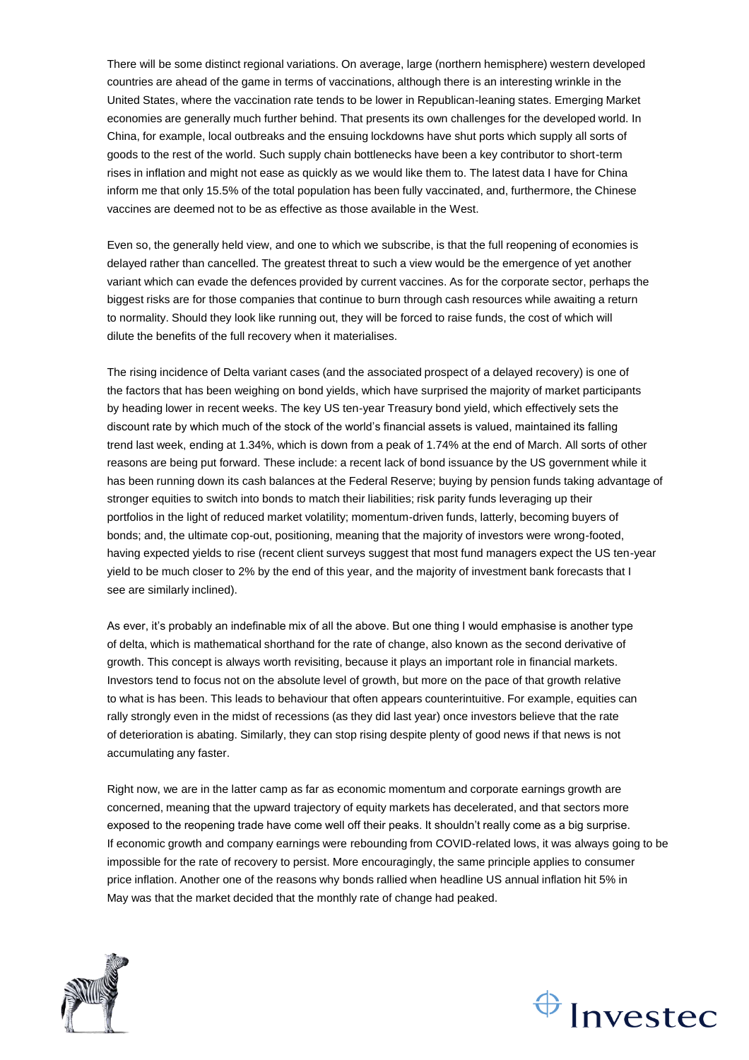There will be some distinct regional variations. On average, large (northern hemisphere) western developed countries are ahead of the game in terms of vaccinations, although there is an interesting wrinkle in the United States, where the vaccination rate tends to be lower in Republican-leaning states. Emerging Market economies are generally much further behind. That presents its own challenges for the developed world. In China, for example, local outbreaks and the ensuing lockdowns have shut ports which supply all sorts of goods to the rest of the world. Such supply chain bottlenecks have been a key contributor to short-term rises in inflation and might not ease as quickly as we would like them to. The latest data I have for China inform me that only 15.5% of the total population has been fully vaccinated, and, furthermore, the Chinese vaccines are deemed not to be as effective as those available in the West.

Even so, the generally held view, and one to which we subscribe, is that the full reopening of economies is delayed rather than cancelled. The greatest threat to such a view would be the emergence of yet another variant which can evade the defences provided by current vaccines. As for the corporate sector, perhaps the biggest risks are for those companies that continue to burn through cash resources while awaiting a return to normality. Should they look like running out, they will be forced to raise funds, the cost of which will dilute the benefits of the full recovery when it materialises.

The rising incidence of Delta variant cases (and the associated prospect of a delayed recovery) is one of the factors that has been weighing on bond yields, which have surprised the majority of market participants by heading lower in recent weeks. The key US ten-year Treasury bond yield, which effectively sets the discount rate by which much of the stock of the world's financial assets is valued, maintained its falling trend last week, ending at 1.34%, which is down from a peak of 1.74% at the end of March. All sorts of other reasons are being put forward. These include: a recent lack of bond issuance by the US government while it has been running down its cash balances at the Federal Reserve; buying by pension funds taking advantage of stronger equities to switch into bonds to match their liabilities; risk parity funds leveraging up their portfolios in the light of reduced market volatility; momentum-driven funds, latterly, becoming buyers of bonds; and, the ultimate cop-out, positioning, meaning that the majority of investors were wrong-footed, having expected yields to rise (recent client surveys suggest that most fund managers expect the US ten-year yield to be much closer to 2% by the end of this year, and the majority of investment bank forecasts that I see are similarly inclined).

As ever, it's probably an indefinable mix of all the above. But one thing I would emphasise is another type of delta, which is mathematical shorthand for the rate of change, also known as the second derivative of growth. This concept is always worth revisiting, because it plays an important role in financial markets. Investors tend to focus not on the absolute level of growth, but more on the pace of that growth relative to what is has been. This leads to behaviour that often appears counterintuitive. For example, equities can rally strongly even in the midst of recessions (as they did last year) once investors believe that the rate of deterioration is abating. Similarly, they can stop rising despite plenty of good news if that news is not accumulating any faster.

Right now, we are in the latter camp as far as economic momentum and corporate earnings growth are concerned, meaning that the upward trajectory of equity markets has decelerated, and that sectors more exposed to the reopening trade have come well off their peaks. It shouldn't really come as a big surprise. If economic growth and company earnings were rebounding from COVID-related lows, it was always going to be impossible for the rate of recovery to persist. More encouragingly, the same principle applies to consumer price inflation. Another one of the reasons why bonds rallied when headline US annual inflation hit 5% in May was that the market decided that the monthly rate of change had peaked.



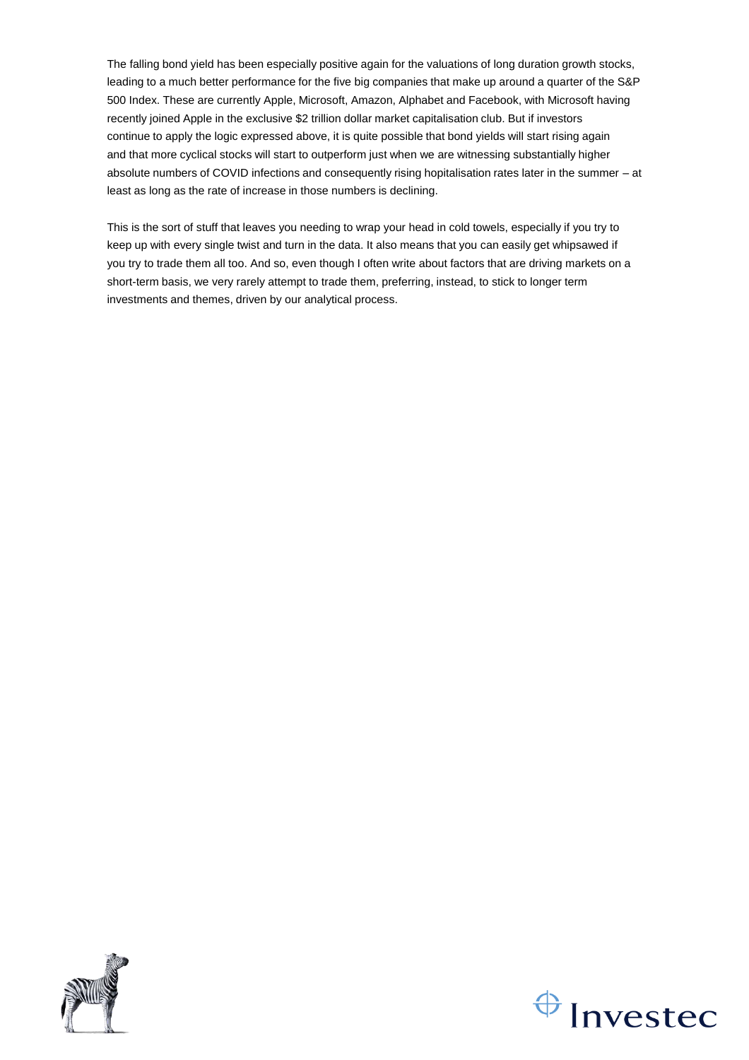The falling bond yield has been especially positive again for the valuations of long duration growth stocks, leading to a much better performance for the five big companies that make up around a quarter of the S&P 500 Index. These are currently Apple, Microsoft, Amazon, Alphabet and Facebook, with Microsoft having recently joined Apple in the exclusive \$2 trillion dollar market capitalisation club. But if investors continue to apply the logic expressed above, it is quite possible that bond yields will start rising again and that more cyclical stocks will start to outperform just when we are witnessing substantially higher absolute numbers of COVID infections and consequently rising hopitalisation rates later in the summer – at least as long as the rate of increase in those numbers is declining.

This is the sort of stuff that leaves you needing to wrap your head in cold towels, especially if you try to keep up with every single twist and turn in the data. It also means that you can easily get whipsawed if you try to trade them all too. And so, even though I often write about factors that are driving markets on a short-term basis, we very rarely attempt to trade them, preferring, instead, to stick to longer term investments and themes, driven by our analytical process.